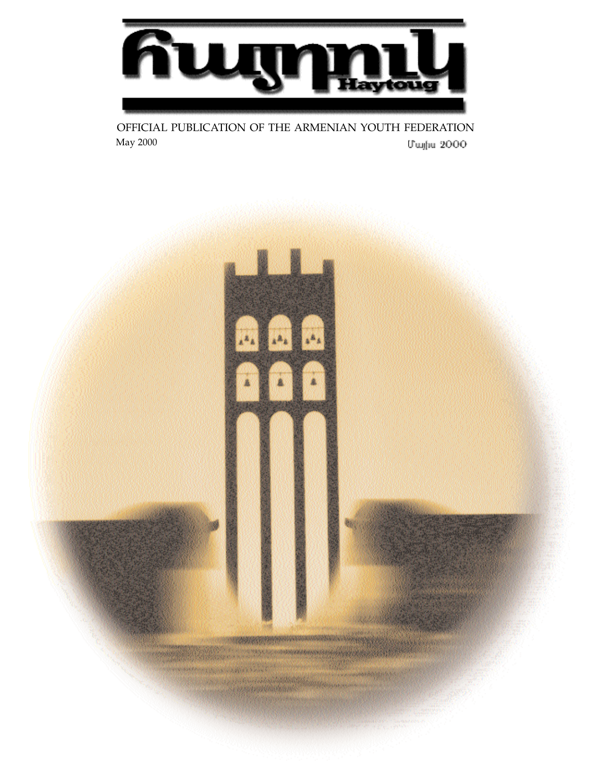

OFFICIAL PUBLICATION OF THE ARMENIAN YOUTH FEDERATION May 2000Մայիս 2000

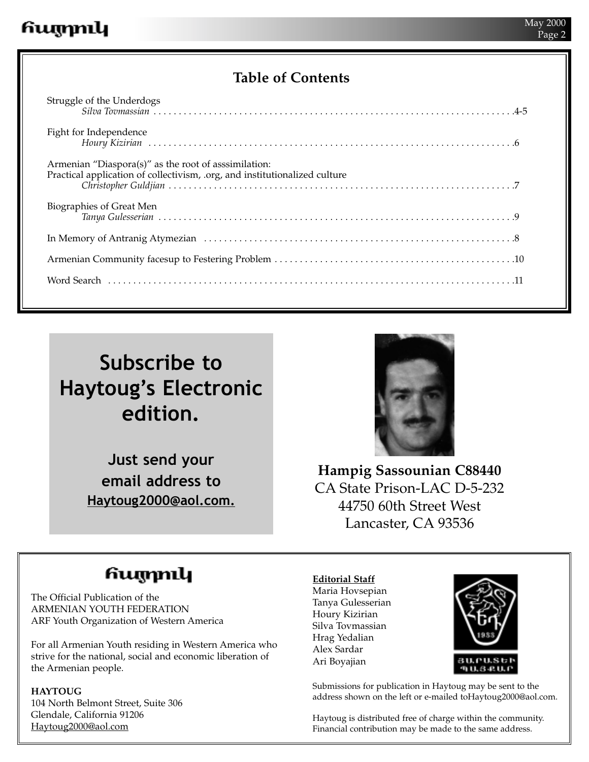### **Table of Contents**

| Fight for Independence                              |
|-----------------------------------------------------|
| Armenian "Diaspora(s)" as the root of assimilation: |
| Biographies of Great Men                            |
|                                                     |
|                                                     |
|                                                     |
|                                                     |

# **Subscribe to Haytoug's Electronic edition.**

**Just send your email address to Haytoug2000@aol.com.**



**Hampig Sassounian C88440** CA State Prison-LAC D-5-232 44750 60th Street West Lancaster, CA 93536

## հայրուկ

The Official Publication of the ARMENIAN YOUTH FEDERATION ARF Youth Organization of Western America

For all Armenian Youth residing in Western America who strive for the national, social and economic liberation of the Armenian people.

### **HAYTOUG**

104 North Belmont Street, Suite 306 Glendale, California 91206 Haytoug2000@aol.com

### **Editorial Staff**

Maria Hovsepian Tanya Gulesserian Houry Kizirian Silva Tovmassian Hrag Yedalian Alex Sardar Ari Boyajian



Submissions for publication in Haytoug may be sent to the address shown on the left or e-mailed toHaytoug2000@aol.com.

Haytoug is distributed free of charge within the community. Financial contribution may be made to the same address.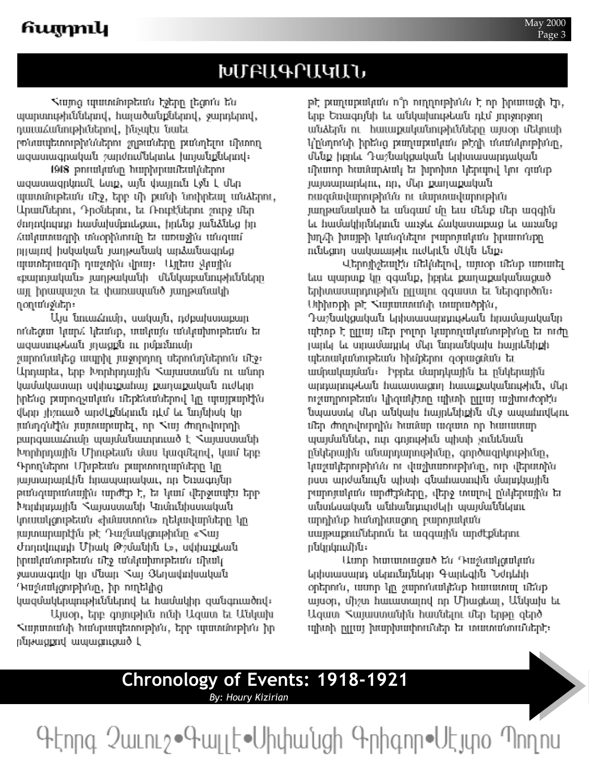## ԽՄԲԱԳՐԱԿԱՆ

Վայոց պատմութեան էջերը լեցուն են պարտութիւններով, հայածանքներով, ջարդերով, դաւաՀանութիւներով, ինչպէս նաեւ րոնապետութխններու շղթաները քանդելու միտող ազատագրական շարժումներոեւ խոյանքներով։

1918 թուականը հարիլուանակներու ացատացրկումէ ետք, այն փայլուն էջն է մեր պատմութեան մէջ, երբ մի քանի նուիրեալ անձերու, Արամներու, Դրօներու, եւ Ռուբէներու շուրջ մեր ժողովուրդը համախմբուեցաւ, իրենց յանձնեց իր նախանայինատա եք դնոոնիկանի դիստադնաձ րրայով իսկական յաղթանակ արձանագրեց պատերազմի դաշտին վրայ։ Այլեա չկային «բարոյական» յադթականի մենկաբանութիւնները այլ իրապաշտ եւ փառապանծ յաղթանակի ղ*օ*դանջներ։

Այս նուաձումը, սակայն, դժբախտաբար ունեցա կարձ կեսնք, տակայն անկախութեան եւ ացատութեան լդացքն ու րմբռնումը շարունակեց ապրիլ յաջորդող սերունդներուն մէջ։ Արդարեւ, երբ Խորհրդային Հայաստանն ու անոր կամակատար սփիսչքահայ քաղաքական ուժերը իրե՛սց թարոգչակա՛ս մեքե՛սա՛սերով կը պայքարիի՛ս վերը լիշուած արժէքներուն դէմ եւ նոյնիսկ կը յանդգնկին յայտարարել, որ Kայ ժողովուրդի բարգաւաձումը պայմանաւորուած է Վայաստանի Խորհրդային Միութեան մաս կազմելով, կամ երբ ԳրողՆերու Մխթեան քարտուղարները կը յայտարարէին հրապարակաւ, որ Եռագոյնը թանգարանային արժէթ է, եւ կամ վերջապէս երբ Խորհրդային Վայաստանի Կոմունիստական կուսակցութեան «իմաստուն» դեկավարները կը յայտարարէին թէ Դաչնակցութիւնը «Kայ Ժողովուրդի Միակ Թշմանին է», սփիսչքեան իրականութեան մէջ անկախութեան միակ ջատագովը կը մնար հայ Յեղավողնական Դաշտակցութիմսը, իր ուղեկից կազմակերպութիւններով եւ համակիր զանգուածով։

Այսօր, երբ գոյութիւն ունի Ազատ եւ Անկախ Հայատանի հանրապետութիմն, երբ պատմութիմն իր րնթացքով ապացուցած Լ

թէ թաղաքական ո՞ր ուղղութիմնն է որ իրառացի էր, երբ Եռագոյնի եւ անկախութեան դէմ յորջորջող անձերն ու հաւաքականութիւնները այսօր մեկուսի կինորոնի իրենց թաղաքական թէզի մտանկութիմսը, մենք իբրեւ Դաշնակցական երիտասարդական միատոր համարձակ եւ խրոխտ կերպով կու գա՛սք յայտարարելու, որ, մեր քաղաքական ռացմավարութիւնն ու մարտավարութիւն յաղթանակած եւ անգամ մը եւս մենք մեր ազգին եւ համակիրներուն առջեւ Հակատաբաց եւ առանց խղՀի խայթի կանգնելու բարոյական իրառոնքը ունեցող սակաւաթիւ ուժերէն մէկն ենք։

ՎերոյիչեալԷս մեկնելով, այսօր մե՛սք առաւել եւս պարտք կը զգանք, իբրեւ քաղաքականացած երիտասարդութիւն ըլլալու զգաստ եւ ներգործոն։ Սփիտքի թէ հայաստանի տարածքին, Դաշնակցական երիտասարդութեան հրամայականը պիտք է ըրայ մեր բոլոր կարողականութիմզը եւ ուժը յարել եւ տրամադրել մեր նորանկախ հայրենիքի պետականութեան հիմքերու գօրացման եւ ամրակայման։ Իբրեւ մարդկային եւ ընկերային արդարութեան հասատացող հասաքականութիւն, մեր ուշադրութեա՛ս կիզակեոր պիտի ըրալ աշխուժօրէ՛ս նպաստել մեր անկախ հայրենիքին մէջ ապահովելու մեր ժողովուրդին համար ազատ որ հաւասար պայմաններ, ուր գոյութիւն պիտի չունենան ընկերային անարդարութիւնը, գործագրկութիւնը, կացակերութիմմս ու վացխառութիմսը, ուր վերստին րստ արժանույն պիտի գնահատուին մարդկային բարոյական արժէքները, վերջ տարվ ընկերային եւ տնտեսական անհանդուրժելի պայմաններու արդիմսք հանդիսացող բարոյական սայթաքումներուն եւ ազգային արժէքներու րնկրկումին։

Ասոր հառատացած ե՛ս Դաշնակցակա՛ս երիտասարդ սերունդները Գարեգին Նժդեհի օրերու՛ս, ասոր կը շարու՛սակե՛սք հառատալ մե՛սք այսօր, միշտ հառատալով որ Միացեալ, Անկախ եւ Ազատ Հայաստանին հասնելու մեր երթը գերծ պիտի ըլրայ խարխափումներ եւ տատանումներէ։

# **Chronology of Events: 1918-1921**

**By: Houry Kizirian** 

Գէորգ 2 աւուշ • Գալլէ • Սիփանցի Գրիգոր • Սէյտօ Պողոս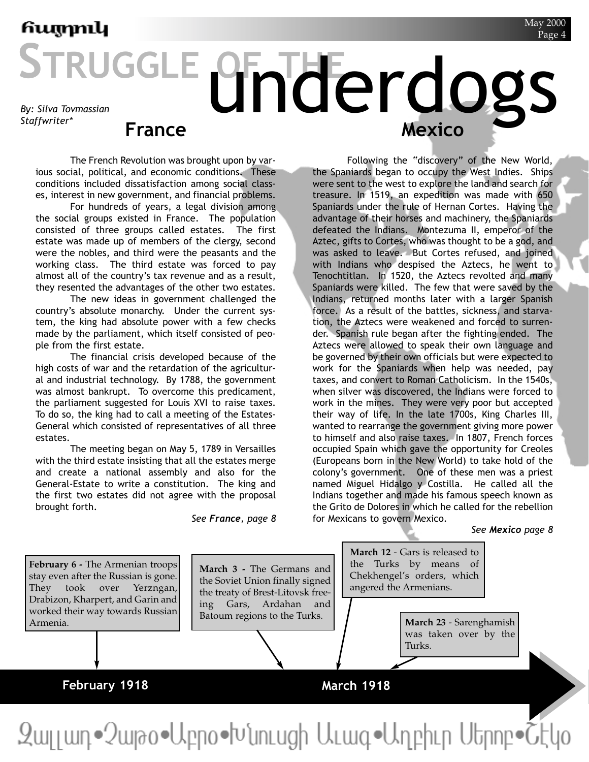# STRUGGLE **OF THE rdogs France Mexico** *By: Silva Tovmassian Staffwriter\**

The French Revolution was brought upon by various social, political, and economic conditions. These conditions included dissatisfaction among social classes, interest in new government, and financial problems.

For hundreds of years, a legal division among the social groups existed in France. The population consisted of three groups called estates. The first estate was made up of members of the clergy, second were the nobles, and third were the peasants and the working class. The third estate was forced to pay almost all of the country's tax revenue and as a result, they resented the advantages of the other two estates.

The new ideas in government challenged the country's absolute monarchy. Under the current system, the king had absolute power with a few checks made by the parliament, which itself consisted of people from the first estate.

The financial crisis developed because of the high costs of war and the retardation of the agricultural and industrial technology. By 1788, the government was almost bankrupt. To overcome this predicament, the parliament suggested for Louis XVI to raise taxes. To do so, the king had to call a meeting of the Estates-General which consisted of representatives of all three estates.

The meeting began on May 5, 1789 in Versailles with the third estate insisting that all the estates merge and create a national assembly and also for the General-Estate to write a constitution. The king and the first two estates did not agree with the proposal brought forth.

*See France, page 8*

Following the "discovery" of the New World, the Spaniards began to occupy the West Indies. Ships were sent to the west to explore the land and search for treasure. In 1519, an expedition was made with 650 Spaniards under the rule of Hernan Cortes. Having the advantage of their horses and machinery, the Spaniards defeated the Indians. Montezuma II, emperor of the Aztec, gifts to Cortes, who was thought to be a god, and was asked to leave. But Cortes refused, and joined with Indians who despised the Aztecs, he went to Tenochtitlan. In 1520, the Aztecs revolted and many Spaniards were killed. The few that were saved by the Indians, returned months later with a larger Spanish force. As a result of the battles, sickness, and starvation, the Aztecs were weakened and forced to surrender. Spanish rule began after the fighting ended. The Aztecs were allowed to speak their own language and be governed by their own officials but were expected to work for the Spaniards when help was needed, pay taxes, and convert to Roman Catholicism. In the 1540s, when silver was discovered, the Indians were forced to work in the mines. They were very poor but accepted their way of life. In the late 1700s, King Charles III, wanted to rearrange the government giving more power to himself and also raise taxes. In 1807, French forces occupied Spain which gave the opportunity for Creoles (Europeans born in the New World) to take hold of the colony's government. One of these men was a priest named Miguel Hidalgo y Costilla. He called all the Indians together and made his famous speech known as the Grito de Dolores in which he called for the rebellion for Mexicans to govern Mexico.

*See Mexico page 8*

**February 6 -** The Armenian troops stay even after the Russian is gone. They took over Yerzngan, Drabizon, Kharpert, and Garin and worked their way towards Russian Armenia.

**March 3 -** The Germans and the Soviet Union finally signed the treaty of Brest-Litovsk freeing Gars, Ardahan and Batoum regions to the Turks.

**March 12** - Gars is released to the Turks by means of Chekhengel's orders, which angered the Armenians.

> **March 23** - Sarenghamish was taken over by the Turks.

### **February 1918**

### **March 1918**

Զալյադ•Չաթօ•Աբրօ•Խնուսցի Աւագ•Աղբիւր Սերոբ•Շէկօ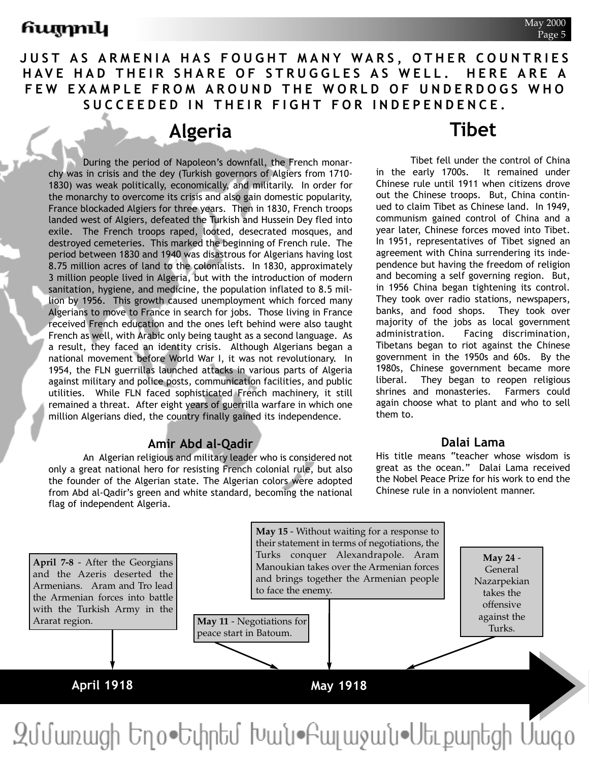### **JUST AS ARMENIA HAS FOUGHT MANY WARS, OTHER COUNTRIES HAVE HAD THEIR SHARE OF STRUGGLES AS WELL. HERE ARE A FEW EXAMPLE FROM AROUND THE WORLD OF UNDERDOGS WHO SUCCEEDED IN THEIR FIGHT FOR INDEPENDENCE.**

### **Algeria**

During the period of Napoleon's downfall, the French monarchy was in crisis and the dey (Turkish governors of Algiers from 1710- 1830) was weak politically, economically, and militarily. In order for the monarchy to overcome its crisis and also gain domestic popularity, France blockaded Algiers for three years. Then in 1830, French troops landed west of Algiers, defeated the Turkish and Hussein Dey fled into exile. The French troops raped, looted, desecrated mosques, and destroyed cemeteries. This marked the beginning of French rule. The period between 1830 and 1940 was disastrous for Algerians having lost 8.75 million acres of land to the colonialists. In 1830, approximately 3 million people lived in Algeria, but with the introduction of modern sanitation, hygiene, and medicine, the population inflated to 8.5 million by 1956. This growth caused unemployment which forced many Algerians to move to France in search for jobs. Those living in France received French education and the ones left behind were also taught French as well, with Arabic only being taught as a second language. As a result, they faced an identity crisis. Although Algerians began a national movement before World War I, it was not revolutionary. In 1954, the FLN guerrillas launched attacks in various parts of Algeria against military and police posts, communication facilities, and public utilities. While FLN faced sophisticated French machinery, it still remained a threat. After eight years of guerrilla warfare in which one million Algerians died, the country finally gained its independence.

### **Amir Abd al-Qadir**

An Algerian religious and military leader who is considered not only a great national hero for resisting French colonial rule, but also the founder of the Algerian state. The Algerian colors were adopted from Abd al-Qadir's green and white standard, becoming the national flag of independent Algeria.

## **Tibet**

Tibet fell under the control of China in the early 1700s. It remained under Chinese rule until 1911 when citizens drove out the Chinese troops. But, China continued to claim Tibet as Chinese land. In 1949, communism gained control of China and a year later, Chinese forces moved into Tibet. In 1951, representatives of Tibet signed an agreement with China surrendering its independence but having the freedom of religion and becoming a self governing region. But, in 1956 China began tightening its control. They took over radio stations, newspapers, banks, and food shops. They took over majority of the jobs as local government administration. Facing discrimination, Tibetans began to riot against the Chinese government in the 1950s and 60s. By the 1980s, Chinese government became more liberal. They began to reopen religious shrines and monasteries. Farmers could again choose what to plant and who to sell them to.

### **Dalai Lama**

His title means "teacher whose wisdom is great as the ocean." Dalai Lama received the Nobel Peace Prize for his work to end the Chinese rule in a nonviolent manner.

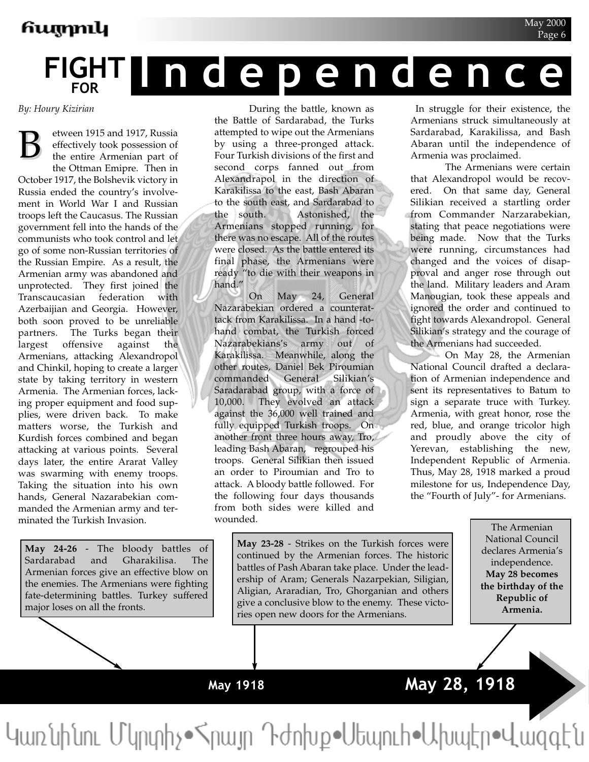# **FIGHT FOR Independence**

*By: Houry Kizirian*

etween 1915 and 1917, Russia effectively took possession of the entire Armenian part of the Ottman Emipre. Then in October 1917, the Bolshevik victory in Russia ended the country's involvement in World War I and Russian troops left the Caucasus. The Russian government fell into the hands of the communists who took control and let go of some non-Russian territories of the Russian Empire. As a result, the Armenian army was abandoned and unprotected. They first joined the Transcaucasian federation with Azerbaijian and Georgia. However, both soon proved to be unreliable partners. The Turks began their largest offensive against the Armenians, attacking Alexandropol and Chinkil, hoping to create a larger state by taking territory in western Armenia. The Armenian forces, lacking proper equipment and food supplies, were driven back. To make matters worse, the Turkish and Kurdish forces combined and began attacking at various points. Several days later, the entire Ararat Valley was swarming with enemy troops. Taking the situation into his own hands, General Nazarabekian commanded the Armenian army and terminated the Turkish Invasion. B

**May 24-26** - The bloody battles of Sardarabad and Gharakilisa. The Armenian forces give an effective blow on the enemies. The Armenians were fighting fate-determining battles. Turkey suffered major loses on all the fronts.

During the battle, known as the Battle of Sardarabad, the Turks attempted to wipe out the Armenians by using a three-pronged attack. Four Turkish divisions of the first and second corps fanned out from Alexandrapol in the direction of Karakilissa to the east, Bash Abaran to the south east, and Sardarabad to the south. Astonished, the Armenians stopped running, for there was no escape. All of the routes were closed. As the battle entered its final phase, the Armenians were ready "to die with their weapons in hand."

On May 24, General Nazarabekian ordered a counterattack from Karakilissa. In a hand -tohand combat, the Turkish forced Nazarabekians's army out of Karakilissa. Meanwhile, along the other routes, Daniel Bek Piroumian commanded General Silikian's Saradarabad group, with a force of 10,000. They evolved an attack against the 36,000 well trained and fully equipped Turkish troops. On another front three hours away, Tro, leading Bash Abaran, regrouped his troops. General Silikian then issued an order to Piroumian and Tro to attack. A bloody battle followed. For the following four days thousands from both sides were killed and wounded.

In struggle for their existence, the Armenians struck simultaneously at Sardarabad, Karakilissa, and Bash Abaran until the independence of Armenia was proclaimed.

May 2000 Page 6

The Armenians were certain that Alexandropol would be recovered. On that same day, General Silikian received a startling order from Commander Narzarabekian, stating that peace negotiations were being made. Now that the Turks were running, circumstances had changed and the voices of disapproval and anger rose through out the land. Military leaders and Aram Manougian, took these appeals and ignored the order and continued to fight towards Alexandropol. General Silikian's strategy and the courage of the Armenians had succeeded.

On May 28, the Armenian National Council drafted a declaration of Armenian independence and sent its representatives to Batum to sign a separate truce with Turkey. Armenia, with great honor, rose the red, blue, and orange tricolor high and proudly above the city of Yerevan, establishing the new, Independent Republic of Armenia. Thus, May 28, 1918 marked a proud milestone for us, Independence Day, the "Fourth of July"- for Armenians.

**May 23-28** - Strikes on the Turkish forces were continued by the Armenian forces. The historic battles of Pash Abaran take place. Under the leadership of Aram; Generals Nazarpekian, Siligian, Aligian, Araradian, Tro, Ghorganian and others give a conclusive blow to the enemy. These victories open new doors for the Armenians.

The Armenian National Council declares Armenia's independence. **May 28 becomes the birthday of the Republic of Armenia.**

**May 1918**

# **May 28, 1918**

Կառնինու Մկրտիչ• հրայր Դժոխք• Սեպուհ• Ախպէր• Վազգէն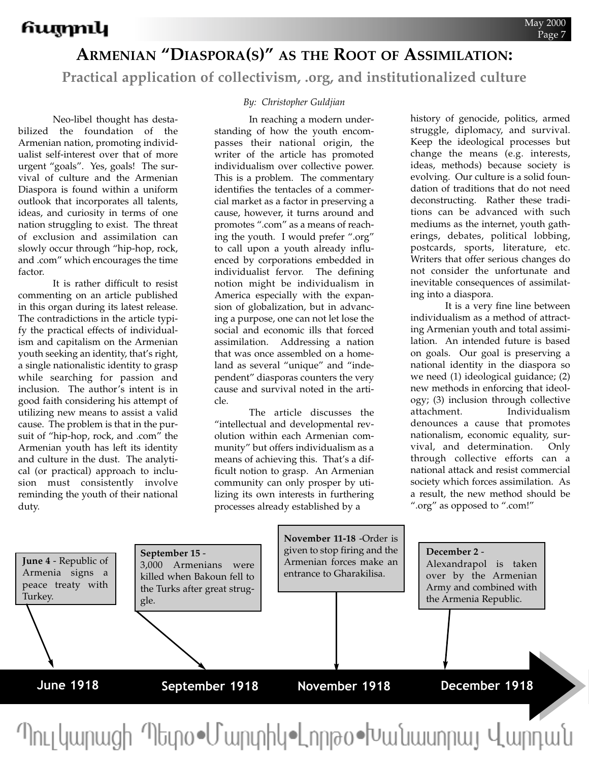### **ARMENIAN "DIASPORA(S)" AS THE ROOT OF ASSIMILATION:**

**Practical application of collectivism, .org, and institutionalized culture**

Neo-libel thought has destabilized the foundation of the Armenian nation, promoting individualist self-interest over that of more urgent "goals". Yes, goals! The survival of culture and the Armenian Diaspora is found within a uniform outlook that incorporates all talents, ideas, and curiosity in terms of one nation struggling to exist. The threat of exclusion and assimilation can slowly occur through "hip-hop, rock, and .com" which encourages the time factor.

It is rather difficult to resist commenting on an article published in this organ during its latest release. The contradictions in the article typify the practical effects of individualism and capitalism on the Armenian youth seeking an identity, that's right, a single nationalistic identity to grasp while searching for passion and inclusion. The author's intent is in good faith considering his attempt of utilizing new means to assist a valid cause. The problem is that in the pursuit of "hip-hop, rock, and .com" the Armenian youth has left its identity and culture in the dust. The analytical (or practical) approach to inclusion must consistently involve reminding the youth of their national duty.

### *By: Christopher Guldjian*

In reaching a modern understanding of how the youth encompasses their national origin, the writer of the article has promoted individualism over collective power. This is a problem. The commentary identifies the tentacles of a commercial market as a factor in preserving a cause, however, it turns around and promotes ".com" as a means of reaching the youth. I would prefer ".org" to call upon a youth already influenced by corporations embedded in individualist fervor. The defining notion might be individualism in America especially with the expansion of globalization, but in advancing a purpose, one can not let lose the social and economic ills that forced assimilation. Addressing a nation that was once assembled on a homeland as several "unique" and "independent" diasporas counters the very cause and survival noted in the article.

The article discusses the "intellectual and developmental revolution within each Armenian community" but offers individualism as a means of achieving this. That's a difficult notion to grasp. An Armenian community can only prosper by utilizing its own interests in furthering processes already established by a

history of genocide, politics, armed struggle, diplomacy, and survival. Keep the ideological processes but change the means (e.g. interests, ideas, methods) because society is evolving. Our culture is a solid foundation of traditions that do not need deconstructing. Rather these traditions can be advanced with such mediums as the internet, youth gatherings, debates, political lobbing, postcards, sports, literature, etc. Writers that offer serious changes do not consider the unfortunate and inevitable consequences of assimilating into a diaspora.

It is a very fine line between individualism as a method of attracting Armenian youth and total assimilation. An intended future is based on goals. Our goal is preserving a national identity in the diaspora so we need (1) ideological guidance; (2) new methods in enforcing that ideology; (3) inclusion through collective attachment. Individualism denounces a cause that promotes nationalism, economic equality, survival, and determination. Only through collective efforts can a national attack and resist commercial society which forces assimilation. As a result, the new method should be ".org" as opposed to ".com!"



<u>Պուլկարացի Պետօ•Մարտիկ•Լորթօ•Խանասորայ Վարդան</u>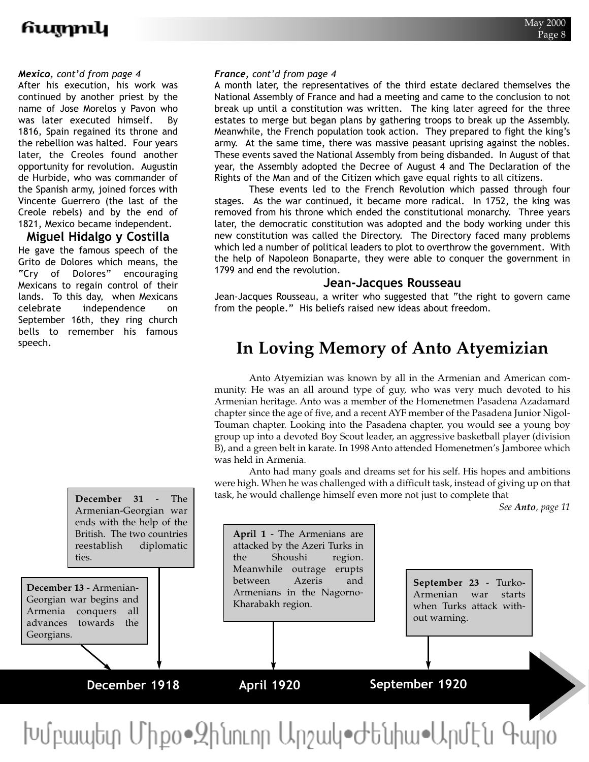### *Mexico, cont'd from page 4*

After his execution, his work was continued by another priest by the name of Jose Morelos y Pavon who was later executed himself. By 1816, Spain regained its throne and the rebellion was halted. Four years later, the Creoles found another opportunity for revolution. Augustin de Hurbide, who was commander of the Spanish army, joined forces with Vincente Guerrero (the last of the Creole rebels) and by the end of 1821, Mexico became independent.

### **Miguel Hidalgo y Costilla**

He gave the famous speech of the Grito de Dolores which means, the "Cry of Dolores" encouraging Mexicans to regain control of their lands. To this day, when Mexicans celebrate independence on September 16th, they ring church bells to remember his famous speech.

> **December 31** - The Armenian-Georgian war

### *France, cont'd from page 4*

A month later, the representatives of the third estate declared themselves the National Assembly of France and had a meeting and came to the conclusion to not break up until a constitution was written. The king later agreed for the three estates to merge but began plans by gathering troops to break up the Assembly. Meanwhile, the French population took action. They prepared to fight the king's army. At the same time, there was massive peasant uprising against the nobles. These events saved the National Assembly from being disbanded. In August of that year, the Assembly adopted the Decree of August 4 and The Declaration of the Rights of the Man and of the Citizen which gave equal rights to all citizens.

These events led to the French Revolution which passed through four stages. As the war continued, it became more radical. In 1752, the king was removed from his throne which ended the constitutional monarchy. Three years later, the democratic constitution was adopted and the body working under this new constitution was called the Directory. The Directory faced many problems which led a number of political leaders to plot to overthrow the government. With the help of Napoleon Bonaparte, they were able to conquer the government in 1799 and end the revolution.

### **Jean-Jacques Rousseau**

Jean-Jacques Rousseau, a writer who suggested that "the right to govern came from the people." His beliefs raised new ideas about freedom.

## **In Loving Memory of Anto Atyemizian**

Anto Atyemizian was known by all in the Armenian and American community. He was an all around type of guy, who was very much devoted to his Armenian heritage. Anto was a member of the Homenetmen Pasadena Azadamard chapter since the age of five, and a recent AYF member of the Pasadena Junior Nigol-Touman chapter. Looking into the Pasadena chapter, you would see a young boy group up into a devoted Boy Scout leader, an aggressive basketball player (division B), and a green belt in karate. In 1998 Anto attended Homenetmen's Jamboree which was held in Armenia.

Anto had many goals and dreams set for his self. His hopes and ambitions were high. When he was challenged with a difficult task, instead of giving up on that task, he would challenge himself even more not just to complete that

*See Anto, page 11*



Խմբապետ Միքօ∙Զինուոր Արշակ•Ժենիա•Արմէն Գարօ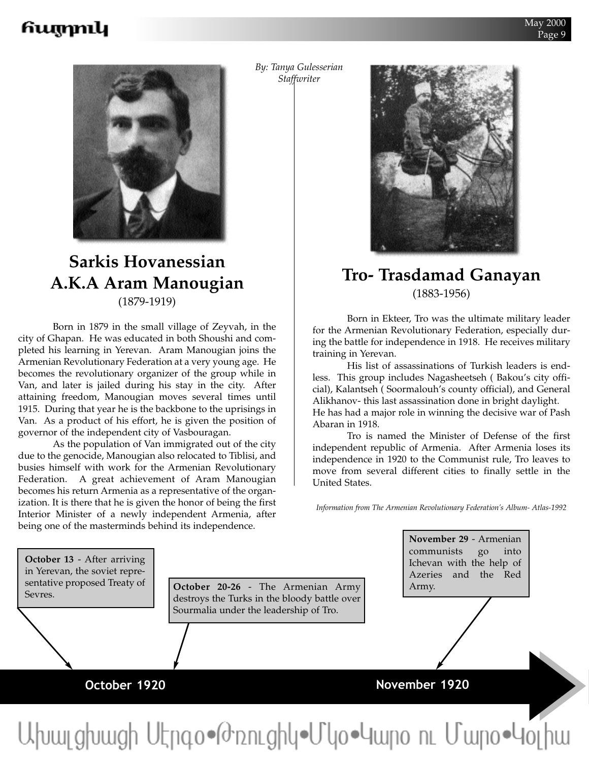

### **Sarkis Hovanessian A.K.A Aram Manougian**  (1879-1919)

Born in 1879 in the small village of Zeyvah, in the city of Ghapan. He was educated in both Shoushi and completed his learning in Yerevan. Aram Manougian joins the Armenian Revolutionary Federation at a very young age. He becomes the revolutionary organizer of the group while in Van, and later is jailed during his stay in the city. After attaining freedom, Manougian moves several times until 1915. During that year he is the backbone to the uprisings in Van. As a product of his effort, he is given the position of governor of the independent city of Vasbouragan.

As the population of Van immigrated out of the city due to the genocide, Manougian also relocated to Tiblisi, and busies himself with work for the Armenian Revolutionary Federation. A great achievement of Aram Manougian becomes his return Armenia as a representative of the organization. It is there that he is given the honor of being the first Interior Minister of a newly independent Armenia, after being one of the masterminds behind its independence.

*By: Tanya Gulesserian Staffwriter*



### **Tro- Trasdamad Ganayan**  (1883-1956)

Born in Ekteer, Tro was the ultimate military leader for the Armenian Revolutionary Federation, especially during the battle for independence in 1918. He receives military training in Yerevan.

His list of assassinations of Turkish leaders is endless. This group includes Nagasheetseh ( Bakou's city official), Kalantseh ( Soormalouh's county official), and General Alikhanov- this last assassination done in bright daylight. He has had a major role in winning the decisive war of Pash Abaran in 1918.

Tro is named the Minister of Defense of the first independent republic of Armenia. After Armenia loses its independence in 1920 to the Communist rule, Tro leaves to move from several different cities to finally settle in the United States.

*Information from The Armenian Revolutionary Federation's Album- Atlas-1992*

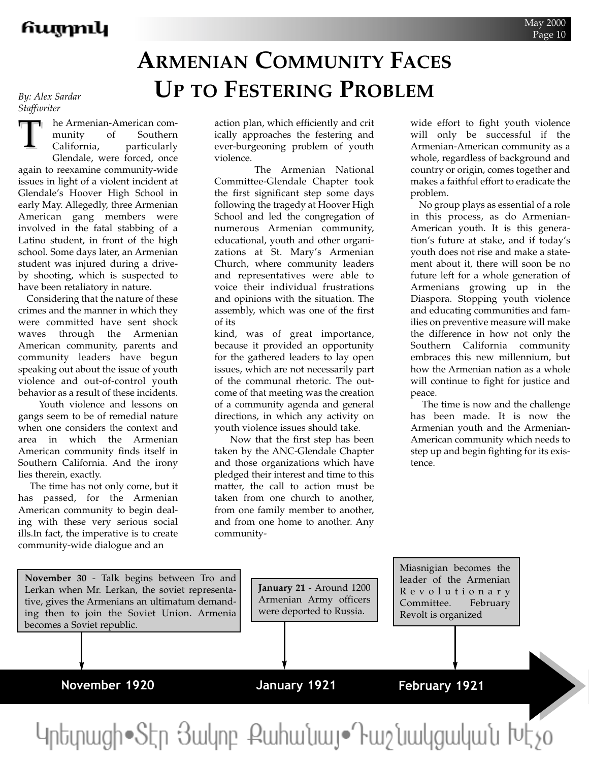# **ARMENIAN COMMUNITY FACES UP TO FESTERING PROBLEM**

*By: Alex Sardar Staffwriter*

he Armenian-American community of Southern California, particularly Glendale, were forced, once again to reexamine community-wide issues in light of a violent incident at Glendale's Hoover High School in early May. Allegedly, three Armenian American gang members were involved in the fatal stabbing of a Latino student, in front of the high school. Some days later, an Armenian student was injured during a driveby shooting, which is suspected to have been retaliatory in nature. T

Considering that the nature of these crimes and the manner in which they were committed have sent shock waves through the Armenian American community, parents and community leaders have begun speaking out about the issue of youth violence and out-of-control youth behavior as a result of these incidents.

Youth violence and lessons on gangs seem to be of remedial nature when one considers the context and area in which the Armenian American community finds itself in Southern California. And the irony lies therein, exactly.

The time has not only come, but it has passed, for the Armenian American community to begin dealing with these very serious social ills.In fact, the imperative is to create community-wide dialogue and an

action plan, which efficiently and crit ically approaches the festering and ever-burgeoning problem of youth violence.

The Armenian National Committee-Glendale Chapter took the first significant step some days following the tragedy at Hoover High School and led the congregation of numerous Armenian community, educational, youth and other organizations at St. Mary's Armenian Church, where community leaders and representatives were able to voice their individual frustrations and opinions with the situation. The assembly, which was one of the first of its

kind, was of great importance, because it provided an opportunity for the gathered leaders to lay open issues, which are not necessarily part of the communal rhetoric. The outcome of that meeting was the creation of a community agenda and general directions, in which any activity on youth violence issues should take.

Now that the first step has been taken by the ANC-Glendale Chapter and those organizations which have pledged their interest and time to this matter, the call to action must be taken from one church to another, from one family member to another, and from one home to another. Any communitywide effort to fight youth violence will only be successful if the Armenian-American community as a whole, regardless of background and country or origin, comes together and makes a faithful effort to eradicate the problem.

No group plays as essential of a role in this process, as do Armenian-American youth. It is this generation's future at stake, and if today's youth does not rise and make a statement about it, there will soon be no future left for a whole generation of Armenians growing up in the Diaspora. Stopping youth violence and educating communities and families on preventive measure will make the difference in how not only the Southern California community embraces this new millennium, but how the Armenian nation as a whole will continue to fight for justice and peace.

The time is now and the challenge has been made. It is now the Armenian youth and the Armenian-American community which needs to step up and begin fighting for its existence.

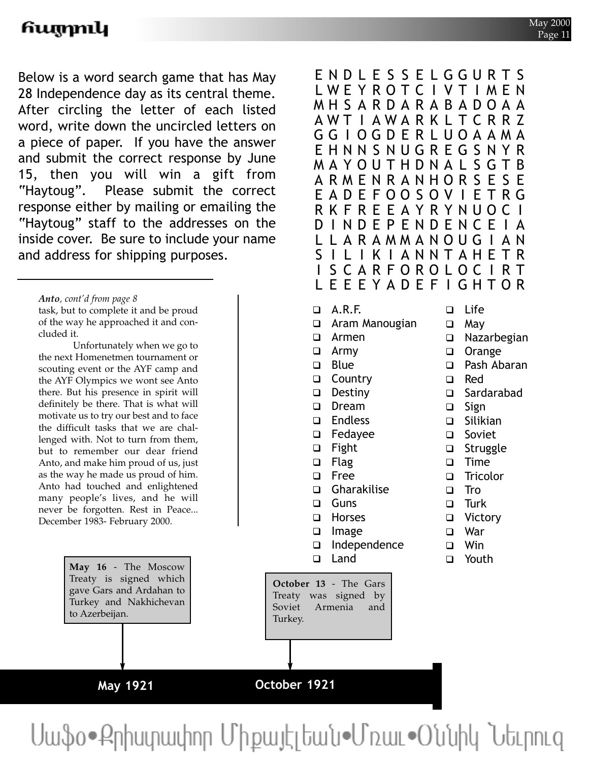Below is a word search game that has May 28 Independence day as its central theme. After circling the letter of each listed word, write down the uncircled letters on a piece of paper. If you have the answer and submit the correct response by June 15, then you will win a gift from "Haytoug". Please submit the correct response either by mailing or emailing the "Haytoug" staff to the addresses on the inside cover. Be sure to include your name and address for shipping purposes.

*Anto, cont'd from page 8* task, but to complete it and be proud of the way he approached it and concluded it.

Unfortunately when we go to the next Homenetmen tournament or scouting event or the AYF camp and the AYF Olympics we wont see Anto there. But his presence in spirit will definitely be there. That is what will motivate us to try our best and to face the difficult tasks that we are challenged with. Not to turn from them, but to remember our dear friend Anto, and make him proud of us, just as the way he made us proud of him. Anto had touched and enlightened many people's lives, and he will never be forgotten. Rest in Peace... December 1983- February 2000.

> **May 16** - The Moscow Treaty is signed which gave Gars and Ardahan to Turkey and Nakhichevan to Azerbeijan.

> > **May 1921**

ENDL E S S E LGGURTS LWEYROTC I VT I MEN MHSARDARABADOAA AWT I AWARK L TCRR Z GG I OGDERLUOAAMA EHNNSNUGREGSNYR MAYOUTHDNAL SGTB ARMENRANHORS E S E EADEFOOSOV I ETRG RKFREEAYRYNUOC I D I NDEPENDENCE I A L L ARAMMANOUG I AN S I L I K I ANNTAHETR I SCARFOROLOC I RT **EEEYADEFIGHTOR**  $\Box$  A.R.F.  $\Box$  Aram Manougian  $\Box$  Armen  $\Box$  Army **D** Blue □ Country  $\Box$  Destiny □ Dream  $\square$  Endless  $\Box$  Fedayee  $\Box$  Fight  $\Box$  Flag  $\square$  Free  $\Box$  Gharakilise  $\Box$  Guns □ Horses  $\Box$  Image □ Independence  $\Box$  Land  $\Box$  Life  $\Box$  May  $\Box$  Nazarbegian □ Orange □ Pash Abaran  $\Box$  Red  $\square$  Sardarabad  $\Box$  Sign  $\Box$  Silikian  $\Box$  Soviet  $\Box$  Struggle  $\Box$  Time □ Tricolor  $\Box$  Tro  $\Box$  Turk  $\Box$  Victory  $\Box$  War  $\neg$  Win □ Youth **October 13** - The Gars Treaty was signed by Soviet Armenia and

Սաֆօ•Քրիստափոր Միքայէլեան•Մռաւ•Օննիկ Նեւրուզ

**October 1921**

Turkey.